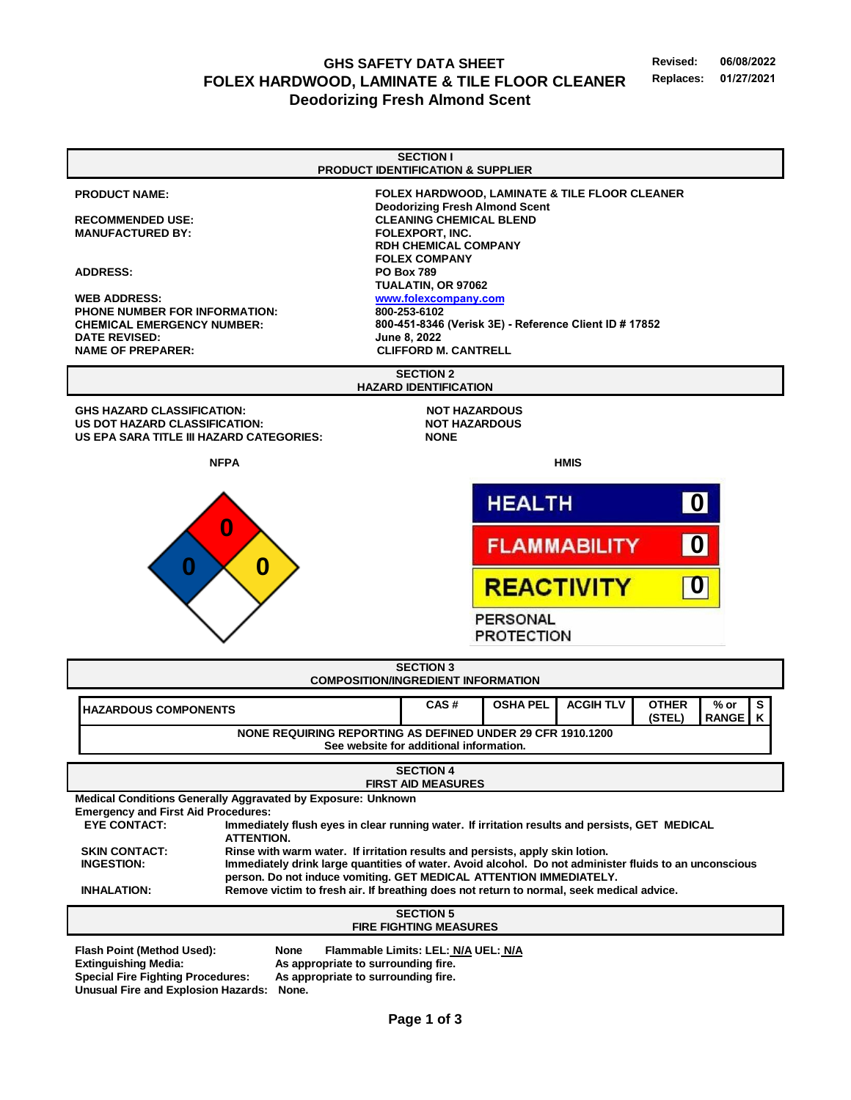**GHS SAFETY DATA SHEET Revised: 06/08/2022 FOLEX HARDWOOD, LAMINATE & TILE FLOOR CLEANER Replaces: Deodorizing Fresh Almond Scent**

**SECTION I PRODUCT IDENTIFICATION & SUPPLIER PRODUCT NAME: FOLEX HARDWOOD, LAMINATE & TILE FLOOR CLEANER Deodorizing Fresh Almond Scent RECOMMENDED USE: CLEANING CHEMICAL BLEND MANUFACTURED BY: FOLEXPORT, INC. RDH CHEMICAL COMPANY FOLEX COMPANY ADDRESS: PO Box 789 TUALATIN, OR 97062 WEB ADDRESS: [www.folex](http://www.folexcompany.com/)company.com PHONE NUMBER FOR INFORMATION: 800-253-6102 CHEMICAL EMERGENCY NUMBER: 800-451-8346 (Verisk 3E) - Reference Client ID # 17852 DATE REVISED: June 8, 2022 CLIFFORD M. CANTRELL NAME OF PREPARER: SECTION 2 HAZARD IDENTIFICATION GHS HAZARD CLASSIFICATION: NOT HAZARDOUS US DOT HAZARD CLASSIFICATION: NOT HAZARDOUS US EPA SARA TITLE III HAZARD CATEGORIES: NONE NFPA HMIS HEALTH 0 0 0FLAMMABILITY 0 0 REACTIVITY 0 PERSONAL PROTECTION SECTION 3 COMPOSITION/INGREDIENT INFORMATION HAZARDOUS COMPONENTS CAS # OSHA PEL ACGIH TLV OTHER % or S K (STEL) RANGE NONE REQUIRING REPORTING AS DEFINED UNDER 29 CFR 1910.1200 See website for additional information. SECTION 4 FIRST AID MEASURES Medical Conditions Generally Aggravated by Exposure: Unknown Emergency and First Aid Procedures:**  Immediately flush eyes in clear running water. If irritation results and persists, GET MEDICAL **ATTENTION. SKIN CONTACT: Rinse with warm water. If irritation results and persists, apply skin lotion. INGESTION: Immediately drink large quantities of water. Avoid alcohol. Do not administer fluids to an unconscious person. Do not induce vomiting. GET MEDICAL ATTENTION IMMEDIATELY. INHALATION: Remove victim to fresh air. If breathing does not return to normal, seek medical advice. SECTION 5 FIRE FIGHTING MEASURES Flash Point (Method Used): None Flammable Limits: LEL: N/A UEL: N/A Extinguishing Media: As appropriate to surrounding fire.** As appropriate to surrounding fire. **Unusual Fire and Explosion Hazards: None.**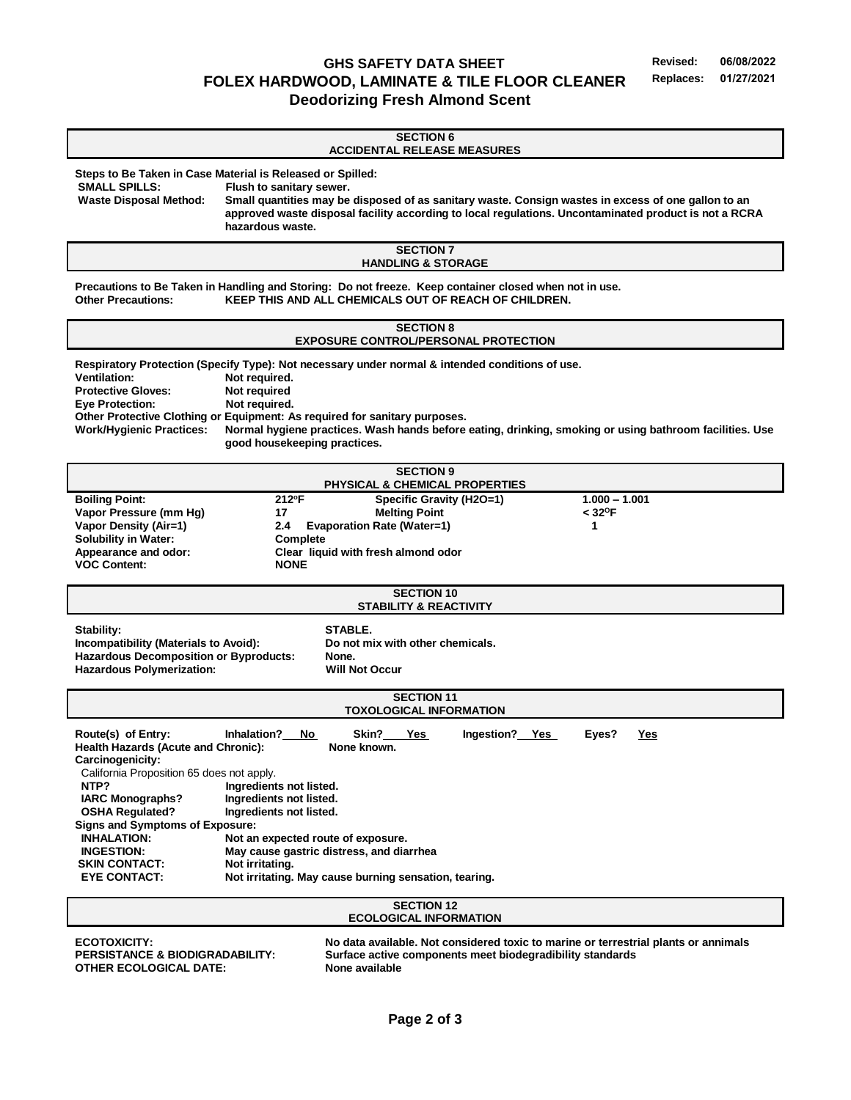**GHS SAFETY DATA SHEET Revised: 06/08/2022 FOLEX HARDWOOD, LAMINATE & TILE FLOOR CLEANER Replaces: 01/27/2021 Deodorizing Fresh Almond Scent**

**SECTION 6 ACCIDENTAL RELEASE MEASURES Steps to Be Taken in Case Material is Released or Spilled: SMALL SPILLS: Flush to sanitary sewer. Waste Disposal Method: Small quantities may be disposed of as sanitary waste. Consign wastes in excess of one gallon to an approved waste disposal facility according to local regulations. Uncontaminated product is not a RCRA hazardous waste. SECTION 7 HANDLING & STORAGE Precautions to Be Taken in Handling and Storing: Do not freeze. Keep container closed when not in use. Other Precautions: KEEP THIS AND ALL CHEMICALS OUT OF REACH OF CHILDREN. SECTION 8 EXPOSURE CONTROL/PERSONAL PROTECTION Respiratory Protection (Specify Type): Not necessary under normal & intended conditions of use.**  Ventilation: Not required. **Protective Gloves:** Not required<br> **Eve Protection:** Not required **Not required. Other Protective Clothing or Equipment: As required for sanitary purposes. Work/Hygienic Practices: Normal hygiene practices. Wash hands before eating, drinking, smoking or using bathroom facilities. Use good housekeeping practices. SECTION 9 PHYSICAL & CHEMICAL PROPERTIES Boiling Point: 212 <sup>o</sup>F Specific Gravity (H2O=1) 1.000 – 1.001 Vapor Pressure (mm Hg) 17 Melting Point < 32<sup>O</sup>F Vapor Density (Air=1) 2.4 Evaporation Rate (Water=1) 1 Solubility in Water: Complete Appearance and odor: Clear liquid with fresh almond odor VOC Content: NONE SECTION 10 STABILITY & REACTIVITY Stability: STABLE. Incompatibility (Materials to Avoid): Do not mix with other chemicals. Hazardous Decomposition or Byproducts: None. Hazardous Polymerization: Will Not Occur SECTION 11 TOXOLOGICAL INFORMATION Route(s) of Entry: Inhalation? No Skin? Yes Ingestion? Yes Eyes? Yes Health Hazards (Acute and Chronic): None known. Carcinogenicity:** California Proposition 65 does not apply. **NTP?** Ingredients not listed.  **IARC Monographs? Ingredients not listed. OSHA Regulated? Ingredients not listed. Signs and Symptoms of Exposure: INHALATION: Not an expected route of exposure. INGESTION: May cause gastric distress, and diarrhea SKIN CONTACT:** Not irritating.<br> **EYE CONTACT:** Not irritating. **Not irritating. May cause burning sensation, tearing. SECTION 12 ECOLOGICAL INFORMATION ECOTOXICITY: No data available. Not considered toxic to marine or terrestrial plants or annimals**

**OTHER ECOLOGICAL DATE:** None available

**PERSISTANCE & BIODIGRADABILITY: Surface active components meet biodegradibility standards**